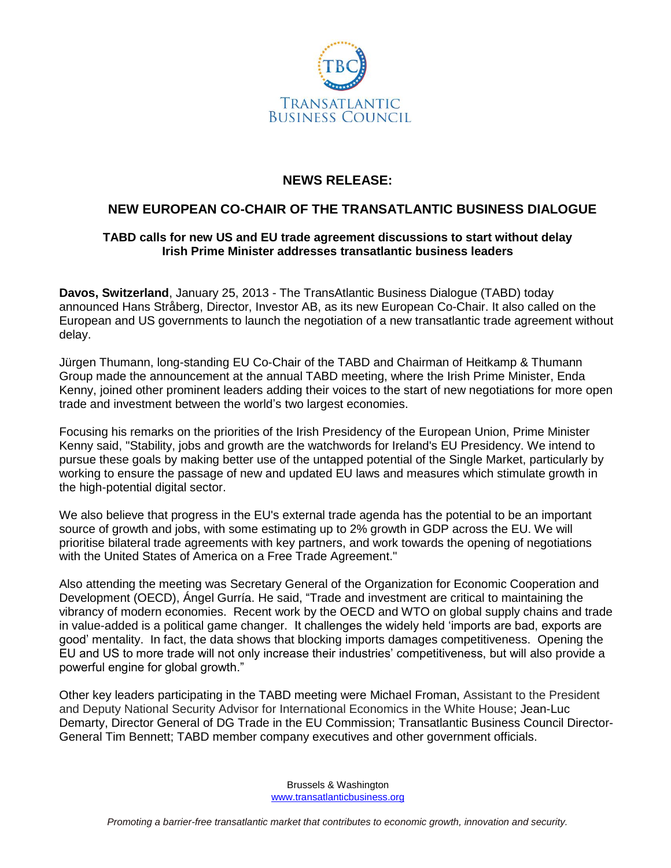

## **NEWS RELEASE:**

## **NEW EUROPEAN CO-CHAIR OF THE TRANSATLANTIC BUSINESS DIALOGUE**

## **TABD calls for new US and EU trade agreement discussions to start without delay Irish Prime Minister addresses transatlantic business leaders**

**Davos, Switzerland**, January 25, 2013 - The TransAtlantic Business Dialogue (TABD) today announced Hans Stråberg, Director, Investor AB, as its new European Co-Chair. It also called on the European and US governments to launch the negotiation of a new transatlantic trade agreement without delay.

Jürgen Thumann, long-standing EU Co-Chair of the TABD and Chairman of Heitkamp & Thumann Group made the announcement at the annual TABD meeting, where the Irish Prime Minister, Enda Kenny, joined other prominent leaders adding their voices to the start of new negotiations for more open trade and investment between the world's two largest economies.

Focusing his remarks on the priorities of the Irish Presidency of the European Union, Prime Minister Kenny said, "Stability, jobs and growth are the watchwords for Ireland's EU Presidency. We intend to pursue these goals by making better use of the untapped potential of the Single Market, particularly by working to ensure the passage of new and updated EU laws and measures which stimulate growth in the high-potential digital sector.

We also believe that progress in the EU's external trade agenda has the potential to be an important source of growth and jobs, with some estimating up to 2% growth in GDP across the EU. We will prioritise bilateral trade agreements with key partners, and work towards the opening of negotiations with the United States of America on a Free Trade Agreement."

Also attending the meeting was Secretary General of the Organization for Economic Cooperation and Development (OECD), Ángel Gurría. He said, "Trade and investment are critical to maintaining the vibrancy of modern economies. Recent work by the OECD and WTO on global supply chains and trade in value-added is a political game changer. It challenges the widely held 'imports are bad, exports are good' mentality. In fact, the data shows that blocking imports damages competitiveness. Opening the EU and US to more trade will not only increase their industries' competitiveness, but will also provide a powerful engine for global growth."

Other key leaders participating in the TABD meeting were Michael Froman, Assistant to the President and Deputy National Security Advisor for International Economics in the White House; Jean-Luc Demarty, Director General of DG Trade in the EU Commission; Transatlantic Business Council Director-General Tim Bennett; TABD member company executives and other government officials.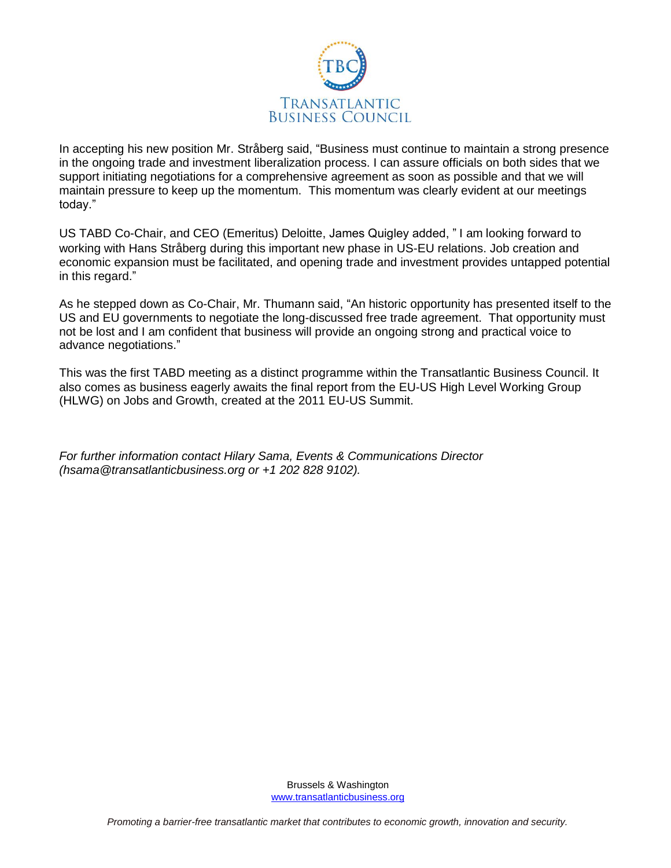

In accepting his new position Mr. Stråberg said, "Business must continue to maintain a strong presence in the ongoing trade and investment liberalization process. I can assure officials on both sides that we support initiating negotiations for a comprehensive agreement as soon as possible and that we will maintain pressure to keep up the momentum. This momentum was clearly evident at our meetings today."

US TABD Co-Chair, and CEO (Emeritus) Deloitte, James Quigley added, " I am looking forward to working with Hans Stråberg during this important new phase in US-EU relations. Job creation and economic expansion must be facilitated, and opening trade and investment provides untapped potential in this regard."

As he stepped down as Co-Chair, Mr. Thumann said, "An historic opportunity has presented itself to the US and EU governments to negotiate the long-discussed free trade agreement. That opportunity must not be lost and I am confident that business will provide an ongoing strong and practical voice to advance negotiations."

This was the first TABD meeting as a distinct programme within the Transatlantic Business Council. It also comes as business eagerly awaits the final report from the EU-US High Level Working Group (HLWG) on Jobs and Growth, created at the 2011 EU-US Summit.

*For further information contact Hilary Sama, Events & Communications Director (hsama@transatlanticbusiness.org or +1 202 828 9102).*